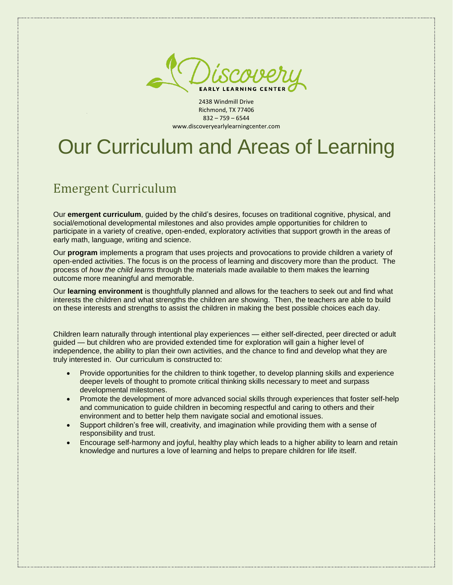

2438 Windmill Drive Richmond, TX 77406 832 – 759 – 6544 www.discoveryearlylearningcenter.com

# Our Curriculum and Areas of Learning

# Emergent Curriculum

Our **emergent curriculum**, guided by the child's desires, focuses on traditional cognitive, physical, and social/emotional developmental milestones and also provides ample opportunities for children to participate in a variety of creative, open-ended, exploratory activities that support growth in the areas of early math, language, writing and science.

Our **program** implements a program that uses projects and provocations to provide children a variety of open-ended activities. The focus is on the process of learning and discovery more than the product. The process of *how the child learns* through the materials made available to them makes the learning outcome more meaningful and memorable.

Our **learning environment** is thoughtfully planned and allows for the teachers to seek out and find what interests the children and what strengths the children are showing. Then, the teachers are able to build on these interests and strengths to assist the children in making the best possible choices each day.

Children learn naturally through intentional play experiences — either self-directed, peer directed or adult guided — but children who are provided extended time for exploration will gain a higher level of independence, the ability to plan their own activities, and the chance to find and develop what they are truly interested in. Our curriculum is constructed to:

- Provide opportunities for the children to think together, to develop planning skills and experience deeper levels of thought to promote critical thinking skills necessary to meet and surpass developmental milestones.
- Promote the development of more advanced social skills through experiences that foster self-help and communication to guide children in becoming respectful and caring to others and their environment and to better help them navigate social and emotional issues.
- Support children's free will, creativity, and imagination while providing them with a sense of responsibility and trust.
- Encourage self-harmony and joyful, healthy play which leads to a higher ability to learn and retain knowledge and nurtures a love of learning and helps to prepare children for life itself.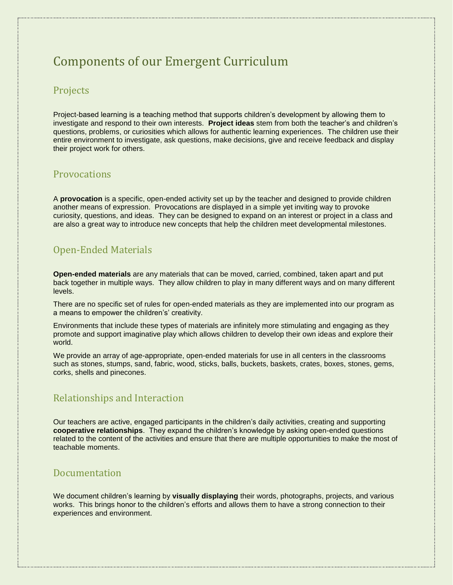# Components of our Emergent Curriculum

### Projects

Project-based learning is a teaching method that supports children's development by allowing them to investigate and respond to their own interests. **Project ideas** stem from both the teacher's and children's questions, problems, or curiosities which allows for authentic learning experiences. The children use their entire environment to investigate, ask questions, make decisions, give and receive feedback and display their project work for others.

### **Provocations**

A **provocation** is a specific, open-ended activity set up by the teacher and designed to provide children another means of expression. Provocations are displayed in a simple yet inviting way to provoke curiosity, questions, and ideas. They can be designed to expand on an interest or project in a class and are also a great way to introduce new concepts that help the children meet developmental milestones.

### Open-Ended Materials

**Open-ended materials** are any materials that can be moved, carried, combined, taken apart and put back together in multiple ways. They allow children to play in many different ways and on many different levels.

There are no specific set of rules for open-ended materials as they are implemented into our program as a means to empower the children's' creativity.

Environments that include these types of materials are infinitely more stimulating and engaging as they promote and support imaginative play which allows children to develop their own ideas and explore their world.

We provide an array of age-appropriate, open-ended materials for use in all centers in the classrooms such as stones, stumps, sand, fabric, wood, sticks, balls, buckets, baskets, crates, boxes, stones, gems, corks, shells and pinecones.

### Relationships and Interaction

Our teachers are active, engaged participants in the children's daily activities, creating and supporting **cooperative relationships**. They expand the children's knowledge by asking open-ended questions related to the content of the activities and ensure that there are multiple opportunities to make the most of teachable moments.

### Documentation

We document children's learning by **visually displaying** their words, photographs, projects, and various works. This brings honor to the children's efforts and allows them to have a strong connection to their experiences and environment.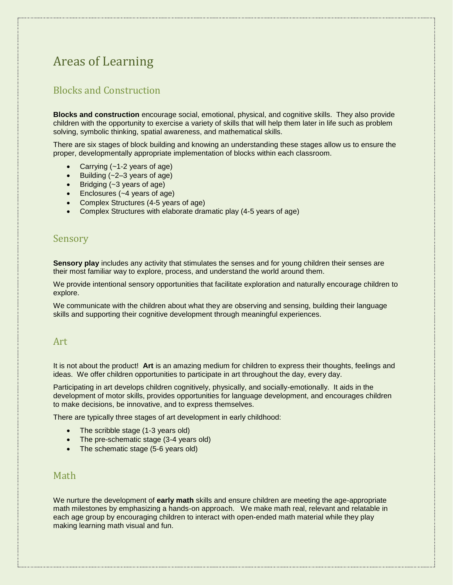# Areas of Learning

## Blocks and Construction

**Blocks and construction** encourage social, emotional, physical, and cognitive skills. They also provide children with the opportunity to exercise a variety of skills that will help them later in life such as problem solving, symbolic thinking, spatial awareness, and mathematical skills.

There are six stages of block building and knowing an understanding these stages allow us to ensure the proper, developmentally appropriate implementation of blocks within each classroom.

- Carrying (~1-2 years of age)
- Building (~2–3 years of age)
- Bridging (~3 years of age)
- Enclosures (~4 years of age)
- Complex Structures (4-5 years of age)
- Complex Structures with elaborate dramatic play (4-5 years of age)

#### Sensory

**Sensory play** includes any activity that stimulates the senses and for young children their senses are their most familiar way to explore, process, and understand the world around them.

We provide intentional sensory opportunities that facilitate exploration and naturally encourage children to explore.

We communicate with the children about what they are observing and sensing, building their language skills and supporting their cognitive development through meaningful experiences.

#### Art

It is not about the product! **Art** is an amazing medium for children to express their thoughts, feelings and ideas. We offer children opportunities to participate in art throughout the day, every day.

Participating in art develops children cognitively, physically, and socially-emotionally. It aids in the development of motor skills, provides opportunities for language development, and encourages children to make decisions, be innovative, and to express themselves.

There are typically three stages of art development in early childhood:

- The scribble stage (1-3 years old)
- The pre-schematic stage (3-4 years old)
- The schematic stage (5-6 years old)

### Math

We nurture the development of **early math** skills and ensure children are meeting the age-appropriate math milestones by emphasizing a hands-on approach. We make math real, relevant and relatable in each age group by encouraging children to interact with open-ended math material while they play making learning math visual and fun.